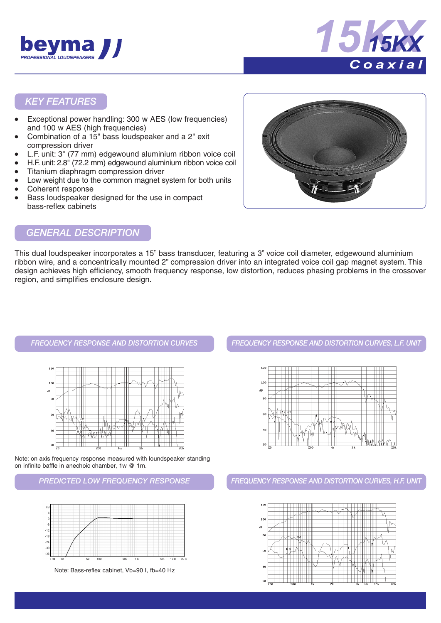



### *KEY FEATURES*

- Exceptional power handling: 300 w AES (low frequencies) and 100 w AES (high frequencies)
- Combination of a 15" bass loudspeaker and a 2" exit compression driver
- L.F. unit: 3" (77 mm) edgewound aluminium ribbon voice coil
- H.F. unit: 2.8" (72.2 mm) edgewound aluminium ribbon voice coil
- Titanium diaphragm compression driver
- Low weight due to the common magnet system for both units
- Coherent response
- Bass loudspeaker designed for the use in compact bass-reflex cabinets



## *GENERAL DESCRIPTION*

This dual loudspeaker incorporates a 15" bass transducer, featuring a 3" voice coil diameter, edgewound aluminium ribbon wire, and a concentrically mounted 2" compression driver into an integrated voice coil gap magnet system. This design achieves high efficiency, smooth frequency response, low distortion, reduces phasing problems in the crossover region, and simplifies enclosure design.



Note: on axis frequency response measured with loundspeaker standing on infinite baffle in anechoic chamber, 1w @ 1m.



Note: Bass-reflex cabinet, Vb=90 I, fb=40 Hz

*FREQUENCY RESPONSE AND DISTORTION CURVES FREQUENCY RESPONSE AND DISTORTION CURVES, L.F. UNIT*



*PREDICTED LOW FREQUENCY RESPONSE FREQUENCY RESPONSE AND DISTORTION CURVES, H.F. UNIT*